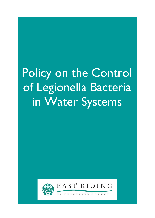# Policy on the Control of Legionella Bacteria in Water Systems



Ξ

EAST RIDING

YORKSHIRE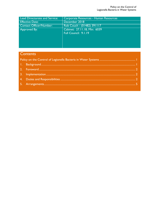| Lead Directorate and Service: | Corporate Resources - Human Resources                |
|-------------------------------|------------------------------------------------------|
| <b>Effective Date:</b>        | December 2018                                        |
| Contact Officer/Number:       | Rob Couch - (01482) 391117                           |
| Approved By:                  | Cabinet: 27.11.18, Min: 6039<br>Full Council: 9.1.19 |

# **Contents**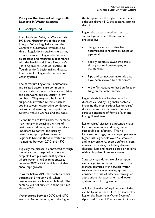# Policy on the Control of Legionella Bacteria in Water Systems

# 1. Background

The Health and Safety at Work etc Act 1974, the Management of Health and Safety at Work Regulations, and the Control of Substances Hazardous to Health Regulations require risks arising from exposure to Legionella bacteria to be assessed and managed in accordance with the Health and Safety Executive's (HSE) Approved Code of Practice L8 (fourth edition); Legionnaires' disease, The control of Legionella bacteria in water systems.

The bacterium Legionella Pneumophila and related bacteria are common in natural water sources such as rivers, lakes and reservoirs, but are usually in low numbers. They may also be found in purpose-built water systems, such as cooling towers, evaporative condensers, hot and cold water systems, sprinkler systems, vehicle washes, and spa pools.

If conditions are favourable, the bacteria may multiply, increasing the risks of Legionnaires' disease, and it is therefore important to control the risks by introducing appropriate measures. Legionella bacteria thrive in water systems maintained between 20°C and 45°C.

Typically the disease is contracted through the inhalation or aspiration of water droplets from purpose-built systems where water is held at temperatures between 20°C - 45°C which is suitable to encourage growth.

In water below 20°C, the bacteria remain dormant and multiply only when temperatures reach a suitable level. The bacteria will not survive in temperatures above 60ºC.

Water stored between 20°C and 45°C seems to favour growth, with the higher the temperature the higher the virulence, although above 45°C the bacteria start to die off.

Legionella bacteria need nutrients to support growth, and these can be provided by:

- Sludge, scale or rust that has accumulated in reservoirs, hoses or pipe work.
- Foreign bodies allowed into tanks through poor housekeeping or maintenance.
- Pipe and connection materials that have been allowed to deteriorate.
- A bio-film coating on hard surfaces or lying on the water surface.

Legionellosis is a collective term for diseases caused by Legionella bacteria including the most serious Legionnaires' disease, as well as the similar but less serious conditions of Pontiac fever and Lochgoilhead fever.

Legionnaires' disease is a potentially fatal form of pneumonia and everyone is susceptible to infection. The risk increases with age, but some people are at higher risk, eg people over 45, smokers and heavy drinkers, people suffering from chronic respiratory or kidney disease, diabetes, lung and heart disease or anyone with an impaired immune system.

Statutory legal duties are placed upon every organisation who own, control or manage premises with hot/cold water services and/or wet cooling systems to consider the risk of infection through an appropriate risk assessment and water system control programme.

A full explanation of legal responsibilities can be found in the HSE's 'The Control of Legionella Bacteria in Water Systems' Approved Code of Practice and Guidance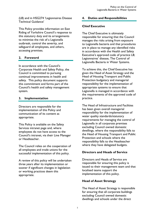(L8) and in HSG274 'Legionnaires Disease Technical Guidance'

This Policy provides information on East Riding of Yorkshire Council's response to this statutory duty and its arrangements to minimise the risk of a Legionella outbreak, control the severity, and safeguard all employees, and others, accessing premises.

#### 2. Foreword

In accordance with the Council's Corporate Health and Safety Policy, the Council is committed to pursuing continual improvements in health and safety. This policy document supports this commitment and forms part of the Council's health and safety management system.

#### 3. Implementation

Directors are responsible for the implementation of this Policy and communication of its content as appropriate.

This Policy is available on the Safety Services intranet page and, where employees do not have access to the Council's intranet, via their Line Manager or Headteacher.

The Council relies on the cooperation of all employees and trade unions for the successful implementation of this policy.

A review of this policy will be undertaken three years after its implementation or sooner if significant changes in legislation or working practices deem this appropriate.

#### 4. Duties and Responsibilities

#### Chief Executive

The Chief Executive is ultimately responsible for ensuring that the Council manages the risks arising from exposure to Legionella bacteria and that procedures are in place to manage any identified risks in accordance with the Health and Safety Executive's approved code of practice L8; Legionnaires' disease, The Control of Legionella Bacteria in Water Systems.

To achieve this, the Chief Executive has given the Head of Asset Strategy and the Head of Housing Transport and Public Protection budgetary and managerial responsibility for the implementation of appropriate systems to ensure that Legionella is managed in accordance with the requirements of the approved code of practice.

The Head of Infrastructure and Facilities has been given overall managerial responsibility for the implementation of water quality standards/statutory requirements for managing the control of Legionella in all corporate premises excluding Council owned domestic dwellings, where the responsibility falls to the Head of Housing Transport and Public Protection and schools where the responsibility falls to the Headteacher where they have delegated budgets.

# Directors and Heads of Service

Directors and Heads of Service are responsible for ensuring this policy is issued to their management team and that localised teams support the implementation of this policy.

# Head of Asset Strategy

The Head of Asset Strategy is responsible for ensuring that all corporate buildings excluding Council owned domestic dwellings and schools under the direct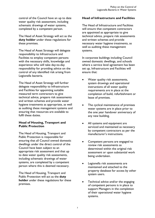control of the Council have an up to date water quality risk assessment, including schematic drawings of water systems, completed by a competent person.

The Head of Asset Strategy will act as the duty holder under these regulations for these premises.

The Head of Asset Strategy will delegate responsibility to Infrastructure and Facilities to employ competent persons with the necessary skills, knowledge and experience who will take day-to-day responsibility for providing advice on the control of any identified risk arising from Legionella bacteria.

The Head of Asset Strategy will further delegate responsibility to Infrastructure and Facilities for appointing suitable measured term contractors to give technical advice, prepare risk assessments and written schemes and provide water hygiene treatments as appropriate, as well as auditing these management systems and ensuring that resources are available to fulfil these duties.

# Head of Housing, Transport and Public Protection

The Head of Housing, Transport and Public Protection is responsible for ensuring that all Council owned domestic dwellings under the direct control of the Council have been subject to an appropriate risk assessment and that up to date water quality risk assessments, including schematic drawings of water systems, are completed by a competent person where this is deemed necessary.

The Head of Housing, Transport and Public Protection will act as the **duty** holder under these regulations for these premises.

# Head of Infrastructure and Facilities

The Head of Infrastructure and Facilities will ensure that competent contractors are appointed as appropriate to give technical advice, prepare risk assessments and written schemes and provide necessary water hygiene treatments, as well as auditing these management systems.

In corporate buildings including Council owned domestic dwellings, and schools where a service level agreement has been set up, Infrastructure and Facilities will ensure that:

- Water quality risk assessments, system drawings and operational instructions of all water quality requirements are in place at the completion of build, refurbishment or lease of premises.
- The cyclical maintenance of premises water systems are in place prior to the one year handover anniversary of any new building.
- All systems and equipment are serviced and maintained as necessary by competent contractors as per the manufacturer's instructions.
- Competent persons are engaged to review risk assessments as determined within the original risk assessment or upon substantial work being undertaken.
- Legionella risk assessments are maintained and attached to the property database for access by other system users.
- Technical advice and/or the engaging of competent persons is in place to support Managers in the completion of their operational water hygiene systems.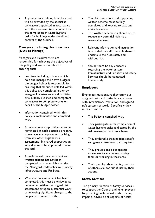Any necessary training is in place and will be provided by the specialist contractor appointed in accordance with the measured term contract for the completion of water hygiene tasks for buildings under the direct control of the Council.

# Managers, Including Headteachers (Duty to Manage)

Managers and Headteachers are responsible for achieving the objectives of this policy and are responsible for ensuring that:

- Premises, including schools, which hold and manage their own budgets, the budget holder is responsible for ensuring that all duties detailed within this policy are completed either by engaging Infrastructure and Facilities or a suitably qualified and competent contractor to complete works on behalf of the budget holder.
- Information contained within this policy is implemented and complied with.
- An operational responsible person is nominated at each occupied property to manage any requirements arising from any water hygiene risk assessment. In shared properties an individual must be appointed to take the lead.
- A professional risk assessment and written scheme has not been completed or is unavailable on site, the Manager/Headteacher must notify Infrastructure and Facilities.
- Where a risk assessment has been completed, this must be reviewed as determined within the original risk assessment or upon substantial work or following significant changes to the property or systems within.
- The risk assessment and supporting written scheme must be fully completed and kept up to date and available on site.
- The written scheme is adhered to, to reduce any potential risks to a reasonable level.
- Relevant information and instruction is provided to staff to enable them to undertake their job safely and without risk.
- Should there be any concerns regarding the water system, Infrastructure and Facilities and Safety Services should be contacted immediately.

# Employees

Employees must ensure they carry out assigned tasks and duties in accordance with information, instruction, and agreed safe systems of work. Specifically they must ensure that:

- This Policy is complied with.
- They participate in the completion of water hygiene tasks as dictated by the risk assessment/written scheme.
- They undertake training (site specific and general awareness), as required.
- They provide basic site specific awareness to any person visiting them or working in their area.
- Their own health and safety and that of others are not put at risk by their actions.

# Safety Services

The primary function of Safety Services is to support the Council and its employees by providing professional, authoritative, impartial advice on all aspects of health,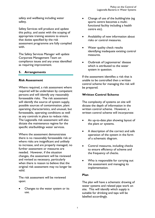safety and wellbeing including water safety.

Safety Services will produce and update this policy, and assist with the scoping of appropriate training sessions to ensure that duties specified by the risk assessment programme are fully complied with.

The Safety Services Manager will update Corporate Management Team on compliance issues and any areas identified as requiring improvement.

# 5. Arrangements

#### Risk Assessment

Where required, a risk assessment where required will be undertaken by competent persons and will identify any reasonably foreseeable risks. The risk assessment will identify the source of system supply, possible sources of contamination, plant operating characteristics, and unusual, but foreseeable, operating conditions as well as any controls in place to reduce risks. The Legionella risk assessment will also dictate the maintenance regime for the specific site/buildings water services.

Where the assessment demonstrates there is no reasonably foreseeable risk or where risks are insignificant and unlikely to increase, and are properly managed, no further assessment or measures are needed. However, if the situation changes, the assessment will be reviewed and revised as necessary, particularly when there is reason to believe that the original risk assessment may no longer be valid.

The risk assessment will be reviewed upon:

 Changes to the water system or its use.

- Change of use of the building/site (eg sports centre becomes a multifunctional facility including a health centre etc).
- Availability of new information about risks or control measures.
- Water quality check results identifying inadequate existing control measures.
- Outbreak of Legionnaires' disease which is attributed to the water system in question.

If the assessment identifies a risk that is unable to be controlled then a written control scheme for managing the risk will be prepared.

# Written Control Scheme

The complexity of systems on site will dictate the depth of information in the written control scheme. However, a written control scheme will incorporate:

- An up-to-date plan showing layout of the plant or systems.
- A description of the correct and safe operation of the system in the form of a schematic diagram.
- Control measures, including checks to ensure efficiency of scheme and the frequency of checks.
- Who is responsible for carrying out the assessment and managing its implementation.

# Plan

The plan will have a schematic drawing of water systems and related pipe work on site. This will identify which supply is suitable for drinking and taps will be labelled accordingly.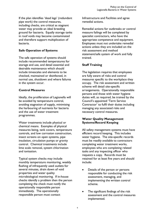If the plan identifies 'dead legs' (redundant pipe work) the control measures, including checks, are critical as stagnant water may provide an ideal breeding ground for bacteria. Equally storage tanks in roof voids may become contaminated and therefore support multiplication of bacteria.

# Safe Operation of Systems

The safe operation of systems should include recommended temperatures for storage and use, and detail essential and desirable maintenance which should include timescales and elements to be checked, maintained or disinfected, in normal use, shutdown and where failures in the system occur.

# Control Measures

Ideally, the proliferation of Legionella will be avoided by temperature control, avoiding stagnation of supply, minimising the harbouring of nutrients for bacteria and the use of water treatment programmes.

Water treatments include physical or chemical means. Examples of physical measures being, tank covers, temperature controls, and low corrosion construction, insect screens on open systems, pipe insulation, circulation pumps or gravity control. Chemical treatments include lime scale removal, system chlorination and ionisation.

Typical system checks may include monthly temperature monitoring, weekly flushing of infrequently used outlets for several minutes, drain down of void properties and water quality microbiological monitoring. If in-house checks identify a problem then the person completing the check must notify the operationally responsible person immediately. The operationally responsible person must contact

Infrastructure and Facilities and agree remedial actions.

Remedial actions for outbreaks or control measure failings will be completed by specialist contractors, who have the appropriate competence and equipment. Employees must not undertake remedial actions unless they are included on the risk assessment and method statement/safe system of work and fully trained.

# Staff Training

The legislation requires that employees are fully aware of risks and control measures specific to the workplace they occupy. The risk assessment and written scheme will detail site-specific arrangements. Operationally responsible persons and those with water hygiene duties will, as required, be trained by the Council's appointed 'Term Service Contractor' to fulfil their duties including managing any associated risks and necessary control measures.

# Water Quality Management Systems/Record Keeping

All safety management systems must have efficient record keeping. This includes water hygiene. The site-specific records must be readily available to contractors completing water treatment works, employees who are completing related tasks and any inspecting officer who requests a copy. Records must be retained for at least five years and should include:

- Details of the person or persons responsible for conducting the risk assessment, managing, and implementing the written control scheme.
- The significant findings of the risk assessment and the control measures implemented.